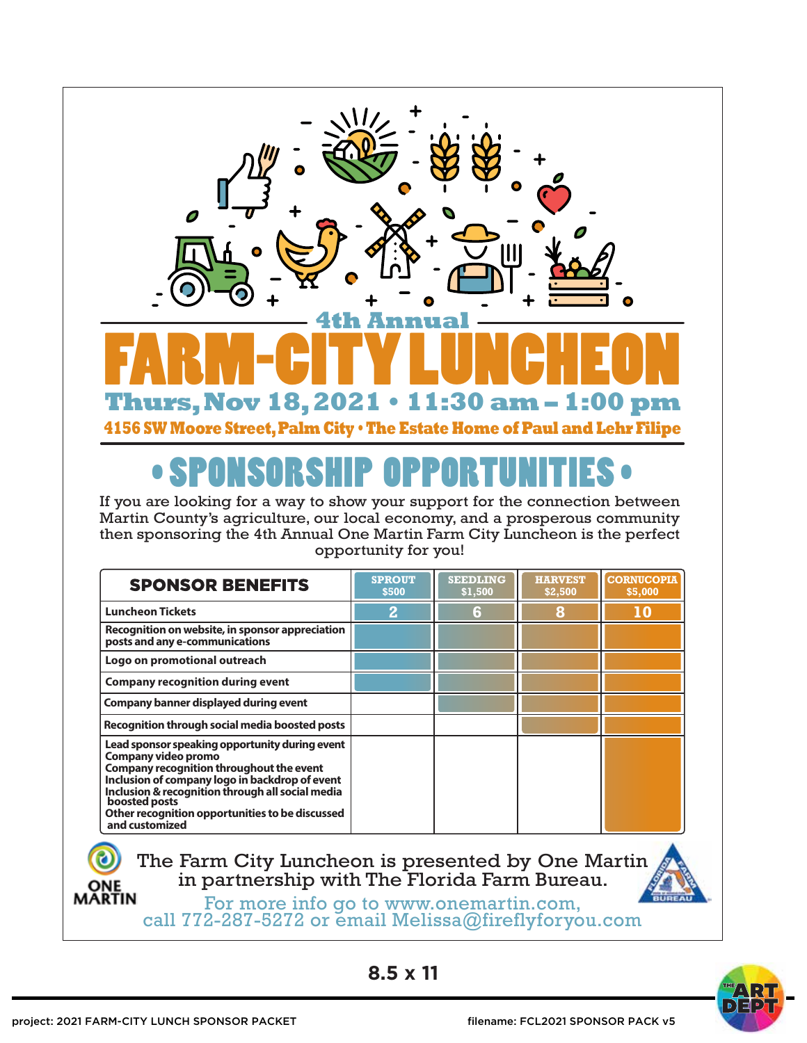

## • SPONSORSHIP OPPORTUNITIES •

If you are looking for a way to show your support for the connection between Martin County's agriculture, our local economy, and a prosperous community then sponsoring the 4th Annual One Martin Farm City Luncheon is the perfect opportunity for you!

| <b>SPONSOR BENEFITS</b>                                                                                                                                                                                                                                                                                       | <b>SPROUT</b><br>\$500 | <b>SEEDLING</b><br>\$1,500 | <b>HARVEST</b><br>\$2,500 | <b>CORNUCOPIA</b><br>\$5,000 |
|---------------------------------------------------------------------------------------------------------------------------------------------------------------------------------------------------------------------------------------------------------------------------------------------------------------|------------------------|----------------------------|---------------------------|------------------------------|
| <b>Luncheon Tickets</b>                                                                                                                                                                                                                                                                                       | $\overline{2}$         | 6                          | 8                         | 10                           |
| Recognition on website, in sponsor appreciation<br>posts and any e-communications                                                                                                                                                                                                                             |                        |                            |                           |                              |
| Logo on promotional outreach                                                                                                                                                                                                                                                                                  |                        |                            |                           |                              |
| <b>Company recognition during event</b>                                                                                                                                                                                                                                                                       |                        |                            |                           |                              |
| Company banner displayed during event                                                                                                                                                                                                                                                                         |                        |                            |                           |                              |
| Recognition through social media boosted posts                                                                                                                                                                                                                                                                |                        |                            |                           |                              |
| Lead sponsor speaking opportunity during event<br>Company video promo<br>Company recognition throughout the event<br>Inclusion of company logo in backdrop of event<br>Inclusion & recognition through all social media<br>boosted posts<br>Other recognition opportunities to be discussed<br>and customized |                        |                            |                           |                              |

## The Farm City Luncheon is presented by One Martin in partnership with The Florida Farm Bureau. **ONE**<br>MARTIN

For more info go to www.onemartin.com, call 772-287-5272 or email Melissa@fireflyforyou.com

**8.5 x 11**